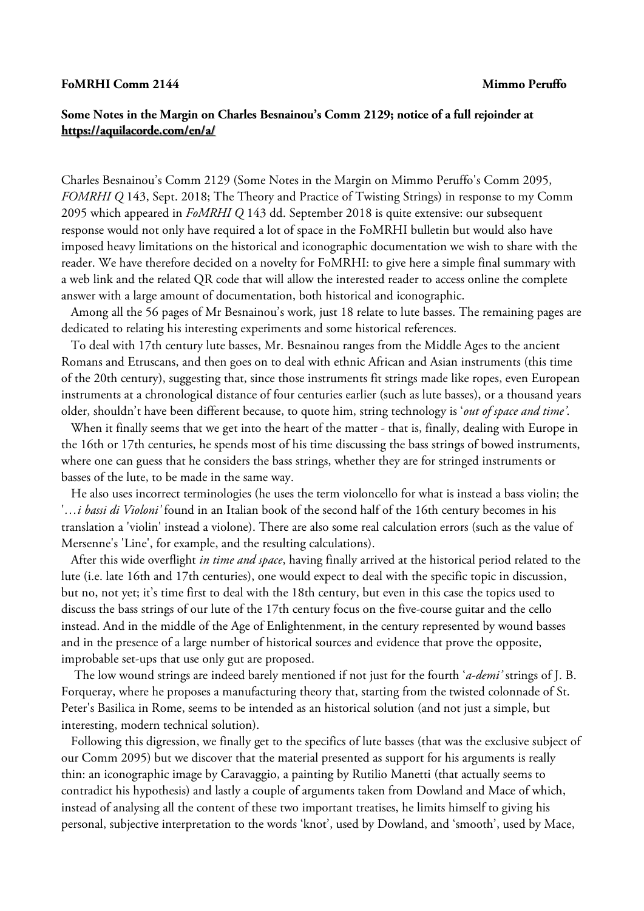## **FoMRHI Comm 2144 Mimmo Peruffo**

## **Some Notes in the Margin on Charles Besnainou's Comm 2129; notice of a full rejoinder at <https://aquilacorde.com/en/a/>**

Charles Besnainou's Comm 2129 (Some Notes in the Margin on Mimmo Peruffo's Comm 2095, *FOMRHI Q* 143, Sept. 2018; The Theory and Practice of Twisting Strings) in response to my Comm 2095 which appeared in *FoMRHI Q* 143 dd. September 2018 is quite extensive: our subsequent response would not only have required a lot of space in the FoMRHI bulletin but would also have imposed heavy limitations on the historical and iconographic documentation we wish to share with the reader. We have therefore decided on a novelty for FoMRHI: to give here a simple final summary with a web link and the related QR code that will allow the interested reader to access online the complete answer with a large amount of documentation, both historical and iconographic.

 Among all the 56 pages of Mr Besnainou's work, just 18 relate to lute basses. The remaining pages are dedicated to relating his interesting experiments and some historical references.

 To deal with 17th century lute basses, Mr. Besnainou ranges from the Middle Ages to the ancient Romans and Etruscans, and then goes on to deal with ethnic African and Asian instruments (this time of the 20th century), suggesting that, since those instruments fit strings made like ropes, even European instruments at a chronological distance of four centuries earlier (such as lute basses), or a thousand years older, shouldn't have been different because, to quote him, string technology is '*out of space and time'*.

 When it finally seems that we get into the heart of the matter - that is, finally, dealing with Europe in the 16th or 17th centuries, he spends most of his time discussing the bass strings of bowed instruments, where one can guess that he considers the bass strings, whether they are for stringed instruments or basses of the lute, to be made in the same way.

 He also uses incorrect terminologies (he uses the term violoncello for what is instead a bass violin; the '*…i bassi di Violoni'* found in an Italian book of the second half of the 16th century becomes in his translation a 'violin' instead a violone). There are also some real calculation errors (such as the value of Mersenne's 'Line', for example, and the resulting calculations).

 After this wide overflight *in time and space*, having finally arrived at the historical period related to the lute (i.e. late 16th and 17th centuries), one would expect to deal with the specific topic in discussion, but no, not yet; it's time first to deal with the 18th century, but even in this case the topics used to discuss the bass strings of our lute of the 17th century focus on the five-course guitar and the cello instead. And in the middle of the Age of Enlightenment, in the century represented by wound basses and in the presence of a large number of historical sources and evidence that prove the opposite, improbable set-ups that use only gut are proposed.

 The low wound strings are indeed barely mentioned if not just for the fourth '*a-demi'* strings of J. B. Forqueray, where he proposes a manufacturing theory that, starting from the twisted colonnade of St. Peter's Basilica in Rome, seems to be intended as an historical solution (and not just a simple, but interesting, modern technical solution).

 Following this digression, we finally get to the specifics of lute basses (that was the exclusive subject of our Comm 2095) but we discover that the material presented as support for his arguments is really thin: an iconographic image by Caravaggio, a painting by Rutilio Manetti (that actually seems to contradict his hypothesis) and lastly a couple of arguments taken from Dowland and Mace of which, instead of analysing all the content of these two important treatises, he limits himself to giving his personal, subjective interpretation to the words 'knot', used by Dowland, and 'smooth', used by Mace,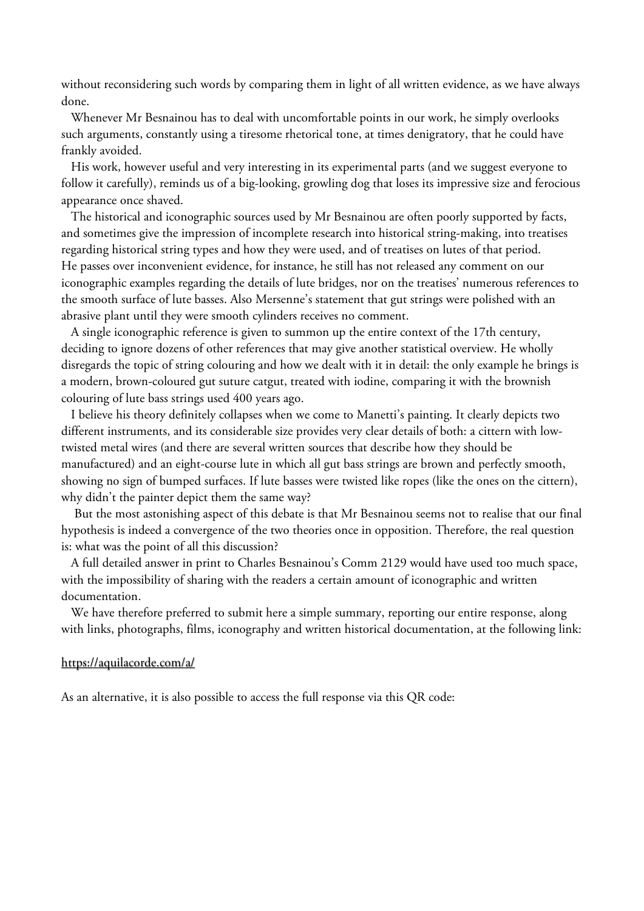without reconsidering such words by comparing them in light of all written evidence, as we have always done.

 Whenever Mr Besnainou has to deal with uncomfortable points in our work, he simply overlooks such arguments, constantly using a tiresome rhetorical tone, at times denigratory, that he could have frankly avoided.

 His work, however useful and very interesting in its experimental parts (and we suggest everyone to follow it carefully), reminds us of a big-looking, growling dog that loses its impressive size and ferocious appearance once shaved.

 The historical and iconographic sources used by Mr Besnainou are often poorly supported by facts, and sometimes give the impression of incomplete research into historical string-making, into treatises regarding historical string types and how they were used, and of treatises on lutes of that period. He passes over inconvenient evidence, for instance, he still has not released any comment on our iconographic examples regarding the details of lute bridges, nor on the treatises' numerous references to the smooth surface of lute basses. Also Mersenne's statement that gut strings were polished with an abrasive plant until they were smooth cylinders receives no comment.

 A single iconographic reference is given to summon up the entire context of the 17th century, deciding to ignore dozens of other references that may give another statistical overview. He wholly disregards the topic of string colouring and how we dealt with it in detail: the only example he brings is a modern, brown-coloured gut suture catgut, treated with iodine, comparing it with the brownish colouring of lute bass strings used 400 years ago.

 I believe his theory definitely collapses when we come to Manetti's painting. It clearly depicts two different instruments, and its considerable size provides very clear details of both: a cittern with lowtwisted metal wires (and there are several written sources that describe how they should be manufactured) and an eight-course lute in which all gut bass strings are brown and perfectly smooth, showing no sign of bumped surfaces. If lute basses were twisted like ropes (like the ones on the cittern), why didn't the painter depict them the same way?

 But the most astonishing aspect of this debate is that Mr Besnainou seems not to realise that our final hypothesis is indeed a convergence of the two theories once in opposition. Therefore, the real question is: what was the point of all this discussion?

 A full detailed answer in print to Charles Besnainou's Comm 2129 would have used too much space, with the impossibility of sharing with the readers a certain amount of iconographic and written documentation.

 We have therefore preferred to submit here a simple summary, reporting our entire response, along with links, photographs, films, iconography and written historical documentation, at the following link:

## <https://aquilacorde.com/a/>

As an alternative, it is also possible to access the full response via this QR code: